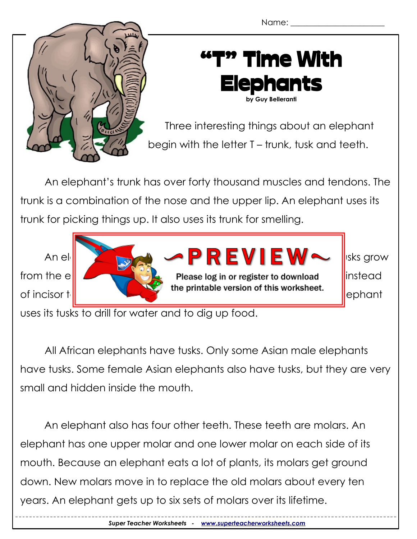

## "T" Time With Elephants

**by Guy Belleranti**

Three interesting things about an elephant begin with the letter T – trunk, tusk and teeth.

An elephant's trunk has over forty thousand muscles and tendons. The trunk is a combination of the nose and the upper lip. An elephant uses its trunk for picking things up. It also uses its trunk for smelling.



uses its tusks to drill for water and to dig up food.

All African elephants have tusks. Only some Asian male elephants have tusks. Some female Asian elephants also have tusks, but they are very small and hidden inside the mouth.

An elephant also has four other teeth. These teeth are molars. An elephant has one upper molar and one lower molar on each side of its mouth. Because an elephant eats a lot of plants, its molars get ground down. New molars move in to replace the old molars about every ten years. An elephant gets up to six sets of molars over its lifetime.

*Super Teacher Worksheets - [www.superteacherworksheets.com](http://www.superteacherworksheets.com/)*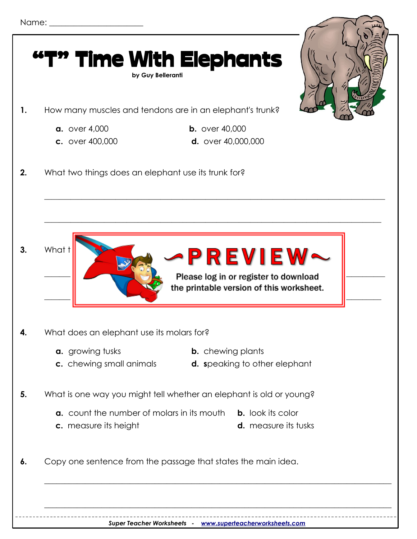